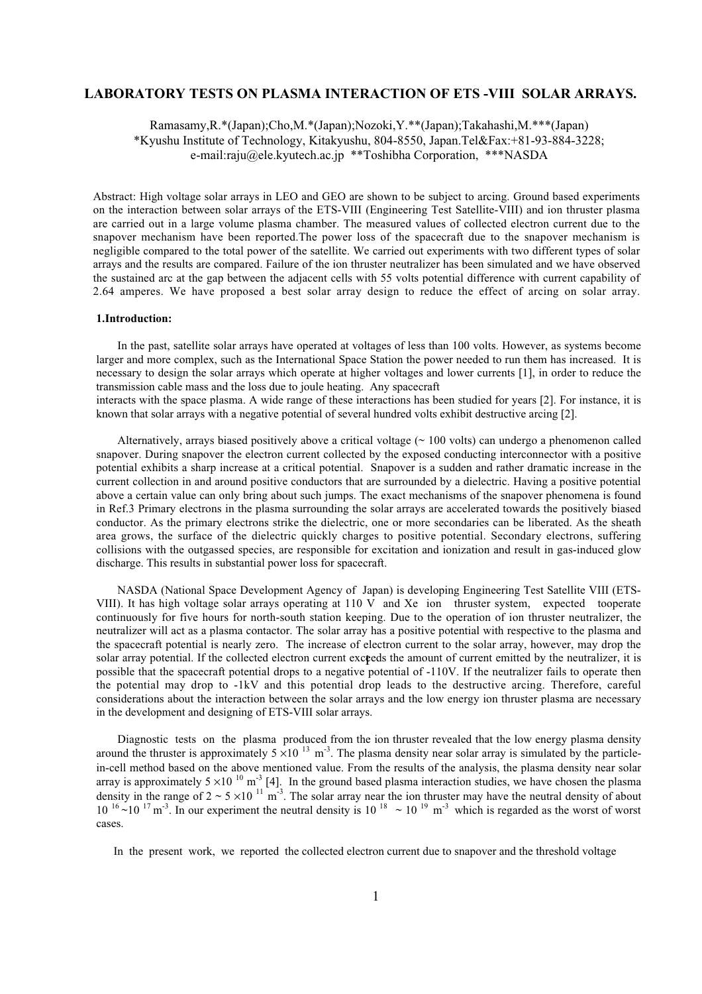# **LABORATORY TESTS ON PLASMA INTERACTION OF ETS -VIII SOLAR ARRAYS.**

Ramasamy,R.\*(Japan);Cho,M.\*(Japan);Nozoki,Y.\*\*(Japan);Takahashi,M.\*\*\*(Japan) \*Kyushu Institute of Technology, Kitakyushu, 804-8550, Japan.Tel&Fax:+81-93-884-3228; e-mail:raju@ele.kyutech.ac.jp \*\*Toshibha Corporation, \*\*\*NASDA

Abstract: High voltage solar arrays in LEO and GEO are shown to be subject to arcing. Ground based experiments on the interaction between solar arrays of the ETS-VIII (Engineering Test Satellite-VIII) and ion thruster plasma are carried out in a large volume plasma chamber. The measured values of collected electron current due to the snapover mechanism have been reported.The power loss of the spacecraft due to the snapover mechanism is negligible compared to the total power of the satellite. We carried out experiments with two different types of solar arrays and the results are compared. Failure of the ion thruster neutralizer has been simulated and we have observed the sustained arc at the gap between the adjacent cells with 55 volts potential difference with current capability of 2.64 amperes. We have proposed a best solar array design to reduce the effect of arcing on solar array.

## **1.Introduction:**

In the past, satellite solar arrays have operated at voltages of less than 100 volts. However, as systems become larger and more complex, such as the International Space Station the power needed to run them has increased. It is necessary to design the solar arrays which operate at higher voltages and lower currents [1], in order to reduce the transmission cable mass and the loss due to joule heating. Any spacecraft interacts with the space plasma. A wide range of these interactions has been studied for years [2]. For instance, it is

known that solar arrays with a negative potential of several hundred volts exhibit destructive arcing [2].

Alternatively, arrays biased positively above a critical voltage ( $\sim$  100 volts) can undergo a phenomenon called snapover. During snapover the electron current collected by the exposed conducting interconnector with a positive potential exhibits a sharp increase at a critical potential. Snapover is a sudden and rather dramatic increase in the current collection in and around positive conductors that are surrounded by a dielectric. Having a positive potential above a certain value can only bring about such jumps. The exact mechanisms of the snapover phenomena is found in Ref.3 Primary electrons in the plasma surrounding the solar arrays are accelerated towards the positively biased conductor. As the primary electrons strike the dielectric, one or more secondaries can be liberated. As the sheath area grows, the surface of the dielectric quickly charges to positive potential. Secondary electrons, suffering collisions with the outgassed species, are responsible for excitation and ionization and result in gas-induced glow discharge. This results in substantial power loss for spacecraft.

NASDA (National Space Development Agency of Japan) is developing Engineering Test Satellite VIII (ETS-VIII). It has high voltage solar arrays operating at 110 V and Xe ion thruster system, expected tooperate continuously for five hours for north-south station keeping. Due to the operation of ion thruster neutralizer, the neutralizer will act as a plasma contactor. The solar array has a positive potential with respective to the plasma and the spacecraft potential is nearly zero. The increase of electron current to the solar array, however, may drop the solar array potential. If the collected electron current exceeds the amount of current emitted by the neutralizer, it is possible that the spacecraft potential drops to a negative potential of -110V. If the neutralizer fails to operate then the potential may drop to -1kV and this potential drop leads to the destructive arcing. Therefore, careful considerations about the interaction between the solar arrays and the low energy ion thruster plasma are necessary in the development and designing of ETS-VIII solar arrays.

Diagnostic tests on the plasma produced from the ion thruster revealed that the low energy plasma density around the thruster is approximately  $5 \times 10^{-13}$  m<sup>-3</sup>. The plasma density near solar array is simulated by the particlein-cell method based on the above mentioned value. From the results of the analysis, the plasma density near solar array is approximately  $5 \times 10^{-10}$  m<sup>-3</sup> [4]. In the ground based plasma interaction studies, we have chosen the plasma density in the range of  $2 \sim 5 \times 10^{-11}$  m<sup>-3</sup>. The solar array near the ion thruster may have the neutral density of about  $10^{-16}$  ~ $10^{-17}$  m<sup>-3</sup>. In our experiment the neutral density is  $10^{-18}$  ~  $10^{-19}$  m<sup>-3</sup> which is regarded as the worst of worst cases.

In the present work, we reported the collected electron current due to snapover and the threshold voltage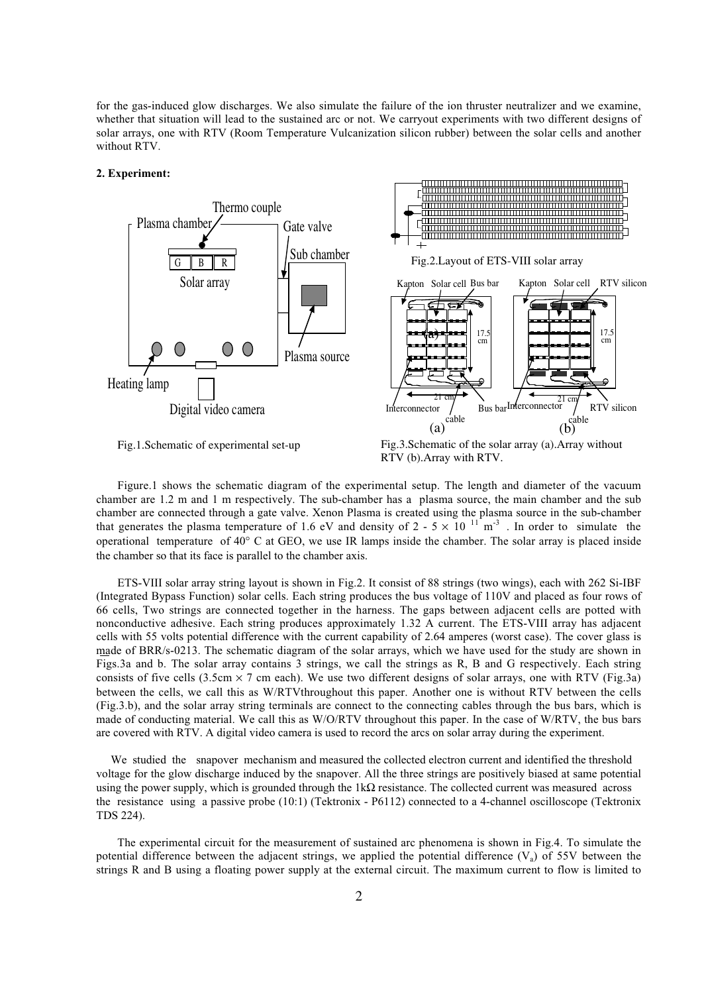for the gas-induced glow discharges. We also simulate the failure of the ion thruster neutralizer and we examine, whether that situation will lead to the sustained arc or not. We carryout experiments with two different designs of solar arrays, one with RTV (Room Temperature Vulcanization silicon rubber) between the solar cells and another without RTV.

# **2. Experiment:**



Fig.1.Schematic of experimental set-up

Interconnector  $\left\{\n \begin{array}{c}\n 21 \text{ cm} \\
\text{RTV}\n \end{array}\n \right\}$ 

 $\begin{pmatrix} \text{cable} \\ \text{b} \end{pmatrix}$ 

Kapton Solar cell

17.5 cm

RTV silicon

Figure.1 shows the schematic diagram of the experimental setup. The length and diameter of the vacuum chamber are 1.2 m and 1 m respectively. The sub-chamber has a plasma source, the main chamber and the sub chamber are connected through a gate valve. Xenon Plasma is created using the plasma source in the sub-chamber that generates the plasma temperature of 1.6 eV and density of 2 - 5  $\times$  10  $^{11}$  m<sup>-3</sup>. In order to simulate the operational temperature of 40° C at GEO, we use IR lamps inside the chamber. The solar array is placed inside the chamber so that its face is parallel to the chamber axis.

ETS-VIII solar array string layout is shown in Fig.2. It consist of 88 strings (two wings), each with 262 Si-IBF (Integrated Bypass Function) solar cells. Each string produces the bus voltage of 110V and placed as four rows of 66 cells, Two strings are connected together in the harness. The gaps between adjacent cells are potted with nonconductive adhesive. Each string produces approximately 1.32 A current. The ETS-VIII array has adjacent cells with 55 volts potential difference with the current capability of 2.64 amperes (worst case). The cover glass is made of BRR/s-0213. The schematic diagram of the solar arrays, which we have used for the study are shown in Figs.3a and b. The solar array contains 3 strings, we call the strings as R, B and G respectively. Each string consists of five cells (3.5cm  $\times$  7 cm each). We use two different designs of solar arrays, one with RTV (Fig.3a) between the cells, we call this as W/RTVthroughout this paper. Another one is without RTV between the cells (Fig.3.b), and the solar array string terminals are connect to the connecting cables through the bus bars, which is made of conducting material. We call this as W/O/RTV throughout this paper. In the case of W/RTV, the bus bars are covered with RTV. A digital video camera is used to record the arcs on solar array during the experiment.

 We studied the snapover mechanism and measured the collected electron current and identified the threshold voltage for the glow discharge induced by the snapover. All the three strings are positively biased at same potential using the power supply, which is grounded through the  $1k\Omega$  resistance. The collected current was measured across the resistance using a passive probe (10:1) (Tektronix - P6112) connected to a 4-channel oscilloscope (Tektronix TDS 224).

The experimental circuit for the measurement of sustained arc phenomena is shown in Fig.4. To simulate the potential difference between the adjacent strings, we applied the potential difference  $(V_a)$  of 55V between the strings R and B using a floating power supply at the external circuit. The maximum current to flow is limited to

Fig.3.Schematic of the solar array (a).Array without RTV (b).Array with RTV.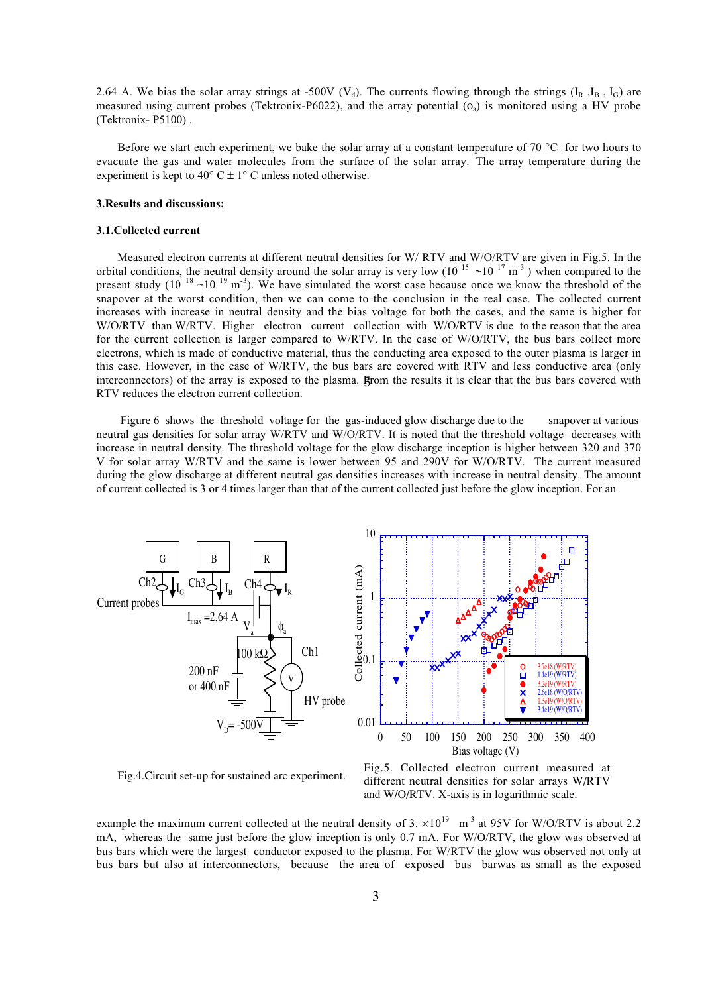2.64 A. We bias the solar array strings at -500V (V<sub>d</sub>). The currents flowing through the strings ( $I_R$ ,  $I_B$ ,  $I_G$ ) are measured using current probes (Tektronix-P6022), and the array potential  $(\phi_a)$  is monitored using a HV probe (Tektronix- P5100) .

Before we start each experiment, we bake the solar array at a constant temperature of 70 °C for two hours to evacuate the gas and water molecules from the surface of the solar array. The array temperature during the experiment is kept to 40 $\degree$  C  $\pm$  1 $\degree$  C unless noted otherwise.

## **3.Results and discussions:**

#### **3.1.Collected current**

Measured electron currents at different neutral densities for W/ RTV and W/O/RTV are given in Fig.5. In the orbital conditions, the neutral density around the solar array is very low (10<sup>15</sup> ~10<sup>17</sup> m<sup>-3</sup>) when compared to the present study  $(10^{18} \text{~}10^{19} \text{~}m^3)$ . We have simulated the worst case because once we know the threshold of the snapover at the worst condition, then we can come to the conclusion in the real case. The collected current increases with increase in neutral density and the bias voltage for both the cases, and the same is higher for W/O/RTV than W/RTV. Higher electron current collection with W/O/RTV is due to the reason that the area for the current collection is larger compared to W/RTV. In the case of W/O/RTV, the bus bars collect more electrons, which is made of conductive material, thus the conducting area exposed to the outer plasma is larger in this case. However, in the case of W/RTV, the bus bars are covered with RTV and less conductive area (only interconnectors) of the array is exposed to the plasma. Brom the results it is clear that the bus bars covered with RTV reduces the electron current collection.

Figure 6 shows the threshold voltage for the gas-induced glow discharge due to the snapover at various neutral gas densities for solar array W/RTV and W/O/RTV. It is noted that the threshold voltage decreases with increase in neutral density. The threshold voltage for the glow discharge inception is higher between 320 and 370 V for solar array W/RTV and the same is lower between 95 and 290V for W/O/RTV. The current measured during the glow discharge at different neutral gas densities increases with increase in neutral density. The amount of current collected is 3 or 4 times larger than that of the current collected just before the glow inception. For an





example the maximum current collected at the neutral density of 3.  $\times10^{19}$  m<sup>-3</sup> at 95V for W/O/RTV is about 2.2 mA, whereas the same just before the glow inception is only 0.7 mA. For W/O/RTV, the glow was observed at bus bars which were the largest conductor exposed to the plasma. For W/RTV the glow was observed not only at bus bars but also at interconnectors, because the area of exposed bus barwas as small as the exposed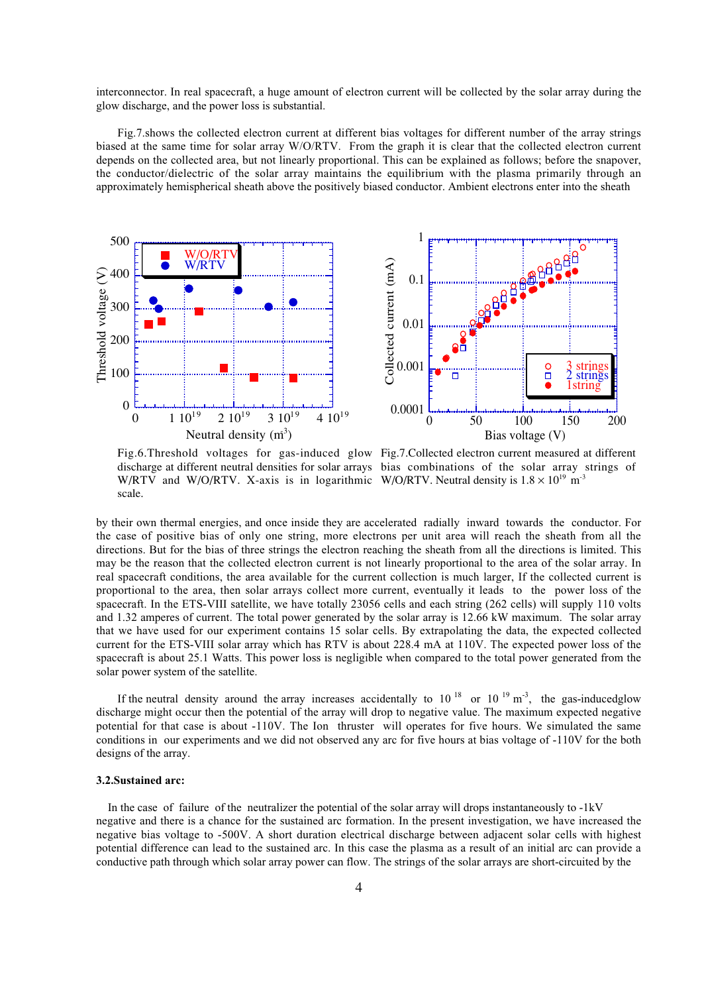interconnector. In real spacecraft, a huge amount of electron current will be collected by the solar array during the glow discharge, and the power loss is substantial.

Fig.7.shows the collected electron current at different bias voltages for different number of the array strings biased at the same time for solar array W/O/RTV. From the graph it is clear that the collected electron current depends on the collected area, but not linearly proportional. This can be explained as follows; before the snapover, the conductor/dielectric of the solar array maintains the equilibrium with the plasma primarily through an approximately hemispherical sheath above the positively biased conductor. Ambient electrons enter into the sheath



W/RTV and W/O/RTV. X-axis is in logarithmic W/O/RTV. Neutral density is  $1.8 \times 10^{19}$  m<sup>-3</sup> scale.

Fig.6.Threshold voltages for gas-induced glow Fig.7.Collected electron current measured at different discharge at different neutral densities for solar arrays bias combinations of the solar array strings of

by their own thermal energies, and once inside they are accelerated radially inward towards the conductor. For the case of positive bias of only one string, more electrons per unit area will reach the sheath from all the directions. But for the bias of three strings the electron reaching the sheath from all the directions is limited. This may be the reason that the collected electron current is not linearly proportional to the area of the solar array. In real spacecraft conditions, the area available for the current collection is much larger, If the collected current is proportional to the area, then solar arrays collect more current, eventually it leads to the power loss of the spacecraft. In the ETS-VIII satellite, we have totally 23056 cells and each string (262 cells) will supply 110 volts and 1.32 amperes of current. The total power generated by the solar array is 12.66 kW maximum. The solar array that we have used for our experiment contains 15 solar cells. By extrapolating the data, the expected collected current for the ETS-VIII solar array which has RTV is about 228.4 mA at 110V. The expected power loss of the spacecraft is about 25.1 Watts. This power loss is negligible when compared to the total power generated from the solar power system of the satellite.

If the neutral density around the array increases accidentally to  $10^{18}$  or  $10^{19}$  m<sup>-3</sup>, the gas-inducedglow discharge might occur then the potential of the array will drop to negative value. The maximum expected negative potential for that case is about -110V. The Ion thruster will operates for five hours. We simulated the same conditions in our experiments and we did not observed any arc for five hours at bias voltage of -110V for the both designs of the array.

### **3.2.Sustained arc:**

 In the case of failure of the neutralizer the potential of the solar array will drops instantaneously to -1kV negative and there is a chance for the sustained arc formation. In the present investigation, we have increased the negative bias voltage to -500V. A short duration electrical discharge between adjacent solar cells with highest potential difference can lead to the sustained arc. In this case the plasma as a result of an initial arc can provide a conductive path through which solar array power can flow. The strings of the solar arrays are short-circuited by the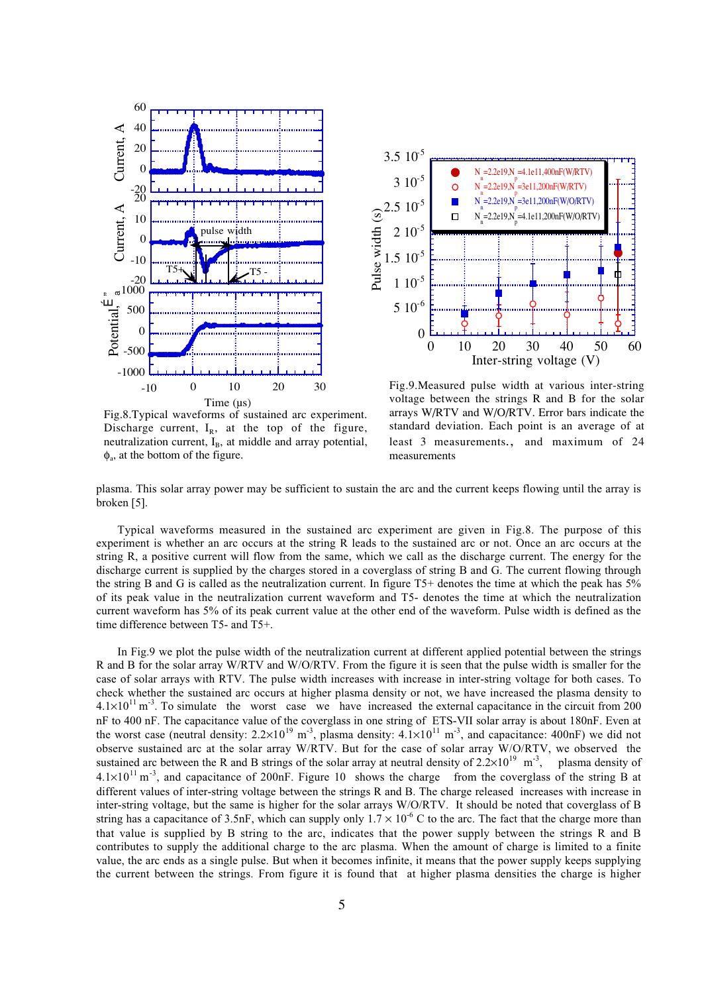

Fig.8.Typical waveforms of sustained arc experiment. Discharge current,  $I_R$ , at the top of the figure, neutralization current, I<sub>B</sub>, at middle and array potential,  $\phi$ <sub>a</sub>, at the bottom of the figure.



Fig.9.Measured pulse width at various inter-string voltage between the strings R and B for the solar arrays W/RTV and W/O/RTV. Error bars indicate the standard deviation. Each point is an average of at least 3 measurements., and maximum of 24 measurements

plasma. This solar array power may be sufficient to sustain the arc and the current keeps flowing until the array is broken [5].

Typical waveforms measured in the sustained arc experiment are given in Fig.8. The purpose of this experiment is whether an arc occurs at the string R leads to the sustained arc or not. Once an arc occurs at the string R, a positive current will flow from the same, which we call as the discharge current. The energy for the discharge current is supplied by the charges stored in a coverglass of string B and G. The current flowing through the string B and G is called as the neutralization current. In figure T5+ denotes the time at which the peak has 5% of its peak value in the neutralization current waveform and T5- denotes the time at which the neutralization current waveform has 5% of its peak current value at the other end of the waveform. Pulse width is defined as the time difference between T5- and T5+.

In Fig.9 we plot the pulse width of the neutralization current at different applied potential between the strings R and B for the solar array W/RTV and W/O/RTV. From the figure it is seen that the pulse width is smaller for the case of solar arrays with RTV. The pulse width increases with increase in inter-string voltage for both cases. To check whether the sustained arc occurs at higher plasma density or not, we have increased the plasma density to  $4.1 \times 10^{11}$  m<sup>-3</sup>. To simulate the worst case we have increased the external capacitance in the circuit from 200 nF to 400 nF. The capacitance value of the coverglass in one string of ETS-VII solar array is about 180nF. Even at the worst case (neutral density:  $2.2 \times 10^{19}$  m<sup>-3</sup>, plasma density:  $4.1 \times 10^{11}$  m<sup>-3</sup>, and capacitance:  $400$ nF) we did not observe sustained arc at the solar array W/RTV. But for the case of solar array W/O/RTV, we observed the sustained arc between the R and B strings of the solar array at neutral density of  $2.2 \times 10^{19}$  m<sup>-3</sup>, plasma density of  $4.1\times10^{11}$  m<sup>-3</sup>, and capacitance of 200nF. Figure 10 shows the charge from the coverglass of the string B at different values of inter-string voltage between the strings R and B. The charge released increases with increase in inter-string voltage, but the same is higher for the solar arrays W/O/RTV. It should be noted that coverglass of B string has a capacitance of 3.5nF, which can supply only  $1.7 \times 10^{-6}$  C to the arc. The fact that the charge more than that value is supplied by B string to the arc, indicates that the power supply between the strings R and B contributes to supply the additional charge to the arc plasma. When the amount of charge is limited to a finite value, the arc ends as a single pulse. But when it becomes infinite, it means that the power supply keeps supplying the current between the strings. From figure it is found that at higher plasma densities the charge is higher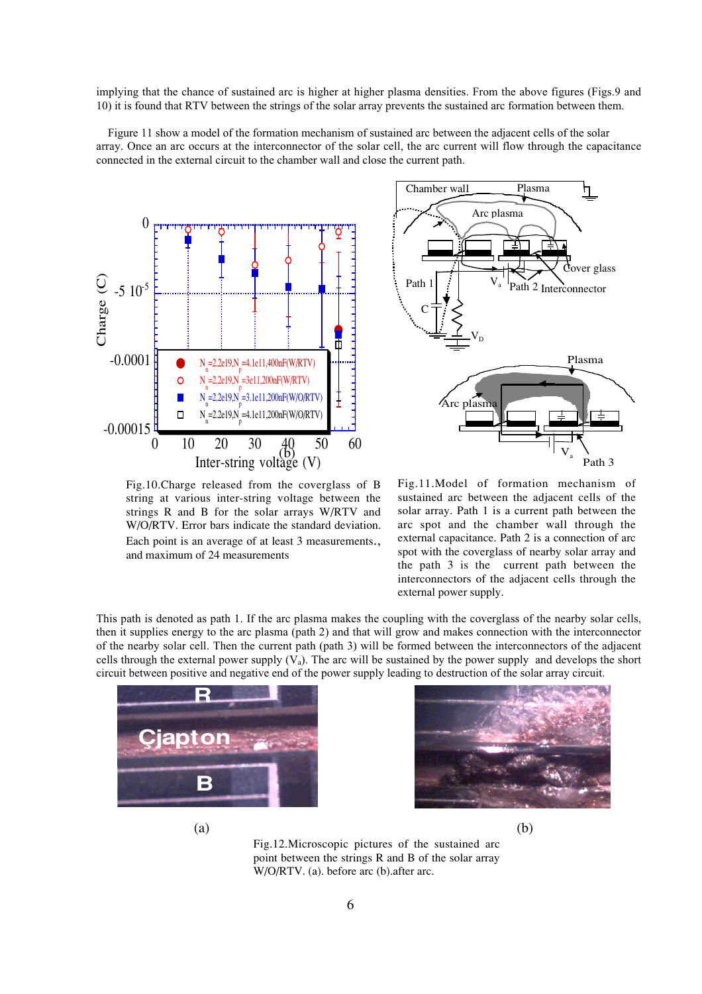implying that the chance of sustained arc is higher at higher plasma densities. From the above figures (Figs.9 and 10) it is found that RTV between the strings of the solar array prevents the sustained arc formation between them.

 Figure 11 show a model of the formation mechanism of sustained arc between the adjacent cells of the solar array. Once an arc occurs at the interconnector of the solar cell, the arc current will flow through the capacitance connected in the external circuit to the chamber wall and close the current path.



Fig.10.Charge released from the coverglass of B string at various inter-string voltage between the strings R and B for the solar arrays W/RTV and W/O/RTV. Error bars indicate the standard deviation. Each point is an average of at least 3 measurements., and maximum of 24 measurements



Fig.11.Model of formation mechanism of sustained arc between the adjacent cells of the solar array. Path 1 is a current path between the arc spot and the chamber wall through the external capacitance. Path 2 is a connection of arc spot with the coverglass of nearby solar array and the path 3 is the current path between the interconnectors of the adjacent cells through the external power supply.

This path is denoted as path 1. If the arc plasma makes the coupling with the coverglass of the nearby solar cells, then it supplies energy to the arc plasma (path 2) and that will grow and makes connection with the interconnector of the nearby solar cell. Then the current path (path 3) will be formed between the interconnectors of the adjacent cells through the external power supply  $(V_a)$ . The arc will be sustained by the power supply and develops the short circuit between positive and negative end of the power supply leading to destruction of the solar array circuit.





 $(a)$  (b)

Fig.12.Microscopic pictures of the sustained arc point between the strings R and B of the solar array W/O/RTV. (a). before arc (b).after arc.